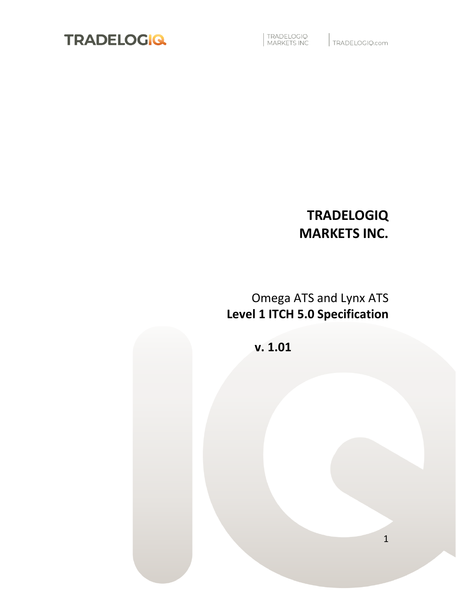

TRADELOGIQ<br>MARKETS INC

TRADELOGIQ.com

## **TRADELOGIQ MARKETS INC.**

## Omega ATS and Lynx ATS **Level 1 ITCH 5.0 Specification**

**v. 1.01**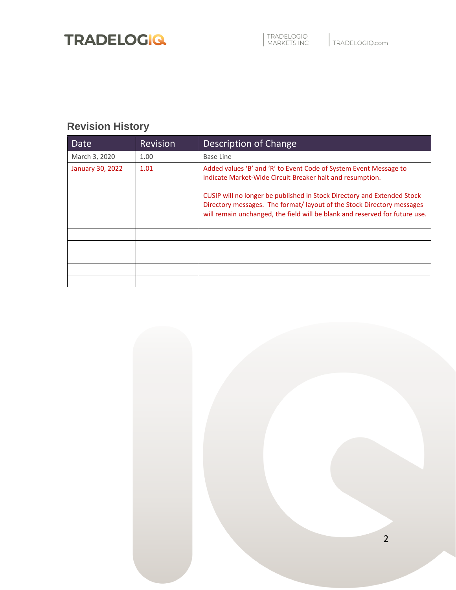## <span id="page-1-0"></span>**Revision History**

| Date             | <b>Revision</b> | Description of Change                                                                                                                                                                                                                                                                                                                                             |  |  |
|------------------|-----------------|-------------------------------------------------------------------------------------------------------------------------------------------------------------------------------------------------------------------------------------------------------------------------------------------------------------------------------------------------------------------|--|--|
| March 3, 2020    | 1.00            | <b>Base Line</b>                                                                                                                                                                                                                                                                                                                                                  |  |  |
| January 30, 2022 | 1.01            | Added values 'B' and 'R' to Event Code of System Event Message to<br>indicate Market-Wide Circuit Breaker halt and resumption.<br>CUSIP will no longer be published in Stock Directory and Extended Stock<br>Directory messages. The format/layout of the Stock Directory messages<br>will remain unchanged, the field will be blank and reserved for future use. |  |  |
|                  |                 |                                                                                                                                                                                                                                                                                                                                                                   |  |  |
|                  |                 |                                                                                                                                                                                                                                                                                                                                                                   |  |  |
|                  |                 |                                                                                                                                                                                                                                                                                                                                                                   |  |  |
|                  |                 |                                                                                                                                                                                                                                                                                                                                                                   |  |  |
|                  |                 |                                                                                                                                                                                                                                                                                                                                                                   |  |  |

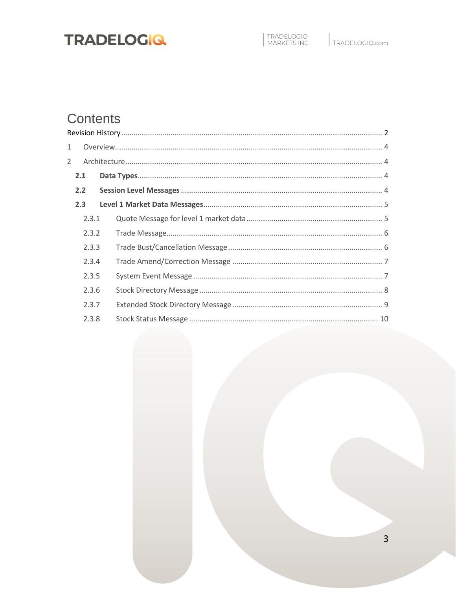## Contents

| $\mathbf 1$    |       |  |
|----------------|-------|--|
| $\overline{2}$ |       |  |
|                | 2.1   |  |
|                | 2.2   |  |
|                | 2.3   |  |
|                | 2.3.1 |  |
|                | 2.3.2 |  |
|                | 2.3.3 |  |
|                | 2.3.4 |  |
|                | 2.3.5 |  |
|                | 2.3.6 |  |
|                | 2.3.7 |  |
|                | 2.3.8 |  |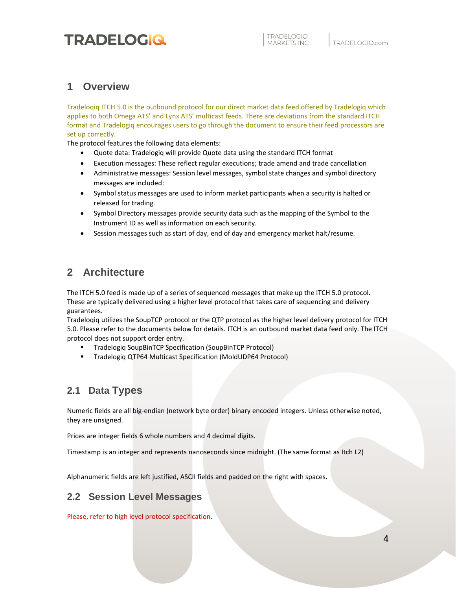### <span id="page-3-0"></span>**1 Overview**

Tradeloqiq ITCH 5.0 is the outbound protocol for our direct market data feed offered by Tradelogiq which applies to both Omega ATS' and Lynx ATS' multicast feeds. There are deviations from the standard ITCH format and Tradelogiq encourages users to go through the document to ensure their feed processors are set up correctly.

The protocol features the following data elements:

- Quote data: Tradelogiq will provide Quote data using the standard ITCH format
- Execution messages: These reflect regular executions; trade amend and trade cancellation
- Administrative messages: Session level messages, symbol state changes and symbol directory messages are included:
- Symbol status messages are used to inform market participants when a security is halted or released for trading.
- Symbol Directory messages provide security data such as the mapping of the Symbol to the Instrument ID as well as information on each security.
- Session messages such as start of day, end of day and emergency market halt/resume.

### <span id="page-3-1"></span>**2 Architecture**

The ITCH 5.0 feed is made up of a series of sequenced messages that make up the ITCH 5.0 protocol. These are typically delivered using a higher level protocol that takes care of sequencing and delivery guarantees.

Tradeloqiq utilizes the SoupTCP protocol or the QTP protocol as the higher level delivery protocol for ITCH 5.0. Please refer to the documents below for details. ITCH is an outbound market data feed only. The ITCH protocol does not support order entry.

- Tradelogiq SoupBinTCP Specification (SoupBinTCP Protocol)
- Tradelogiq QTP64 Multicast Specification (MoldUDP64 Protocol)

### <span id="page-3-2"></span>**2.1 Data Types**

Numeric fields are all big-endian (network byte order) binary encoded integers. Unless otherwise noted, they are unsigned.

Prices are integer fields 6 whole numbers and 4 decimal digits.

Timestamp is an integer and represents nanoseconds since midnight. (The same format as Itch L2)

Alphanumeric fields are left justified, ASCII fields and padded on the right with spaces.

### <span id="page-3-3"></span>**2.2 Session Level Messages**

Please, refer to high level protocol specification.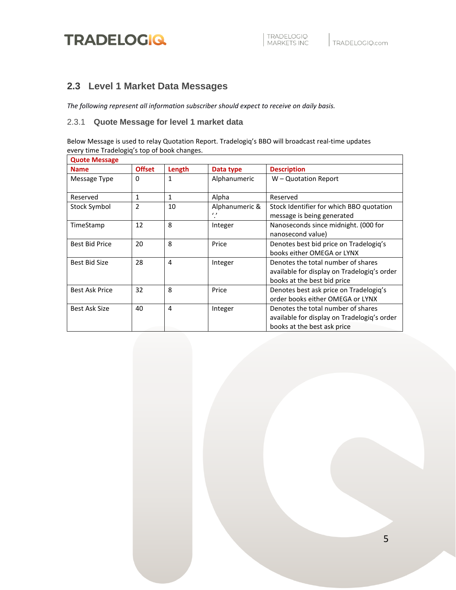### <span id="page-4-0"></span>**2.3 Level 1 Market Data Messages**

*The following represent all information subscriber should expect to receive on daily basis.*

#### <span id="page-4-1"></span>2.3.1 **Quote Message for level 1 market data**

Below Message is used to relay Quotation Report. Tradelogiq's BBO will broadcast real-time updates every time Tradelogiq's top of book changes.

| <b>Quote Message</b>  |                |                |                            |                                                                                                                  |
|-----------------------|----------------|----------------|----------------------------|------------------------------------------------------------------------------------------------------------------|
| <b>Name</b>           | <b>Offset</b>  | Length         | Data type                  | <b>Description</b>                                                                                               |
| Message Type          | 0              | 1              | Alphanumeric               | W – Quotation Report                                                                                             |
| Reserved              | 1              | $\mathbf{1}$   | Alpha                      | Reserved                                                                                                         |
| Stock Symbol          | $\mathfrak{p}$ | 10             | Alphanumeric &<br>$\prime$ | Stock Identifier for which BBO quotation<br>message is being generated                                           |
| TimeStamp             | 12             | 8              | Integer                    | Nanoseconds since midnight. (000 for<br>nanosecond value)                                                        |
| <b>Best Bid Price</b> | 20             | 8              | Price                      | Denotes best bid price on Tradelogiq's<br>books either OMEGA or LYNX                                             |
| Best Bid Size         | 28             | $\overline{a}$ | Integer                    | Denotes the total number of shares<br>available for display on Tradelogiq's order<br>books at the best bid price |
| <b>Best Ask Price</b> | 32             | 8              | Price                      | Denotes best ask price on Tradelogiq's<br>order books either OMEGA or LYNX                                       |
| Best Ask Size         | 40             | $\overline{a}$ | Integer                    | Denotes the total number of shares<br>available for display on Tradelogiq's order<br>books at the best ask price |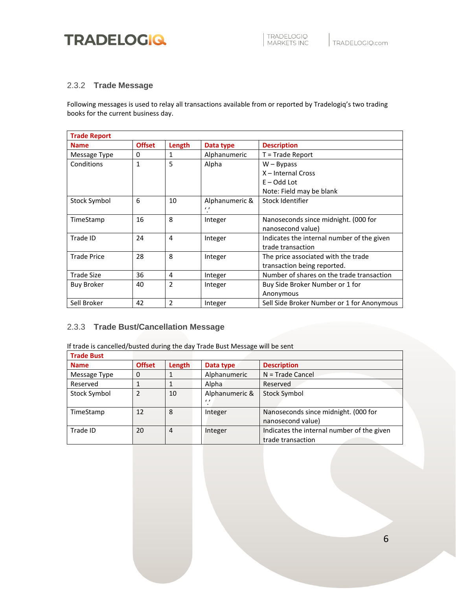#### <span id="page-5-0"></span>2.3.2 **Trade Message**

Following messages is used to relay all transactions available from or reported by Tradelogiq's two trading books for the current business day.

| <b>Trade Report</b> |               |                |                |                                            |  |
|---------------------|---------------|----------------|----------------|--------------------------------------------|--|
| <b>Name</b>         | <b>Offset</b> | Length         | Data type      | <b>Description</b>                         |  |
| Message Type        | 0             | 1              | Alphanumeric   | $T = Trade Report$                         |  |
| Conditions          | $\mathbf{1}$  | 5              | Alpha          | $W - Bypass$                               |  |
|                     |               |                |                | X - Internal Cross                         |  |
|                     |               |                |                | $E - Odd$ Lot                              |  |
|                     |               |                |                | Note: Field may be blank                   |  |
| Stock Symbol        | 6             | 10             | Alphanumeric & | Stock Identifier                           |  |
|                     |               |                | $\prime$       |                                            |  |
| TimeStamp           | 16            | 8              | Integer        | Nanoseconds since midnight. (000 for       |  |
|                     |               |                |                | nanosecond value)                          |  |
| Trade ID            | 24            | 4              | Integer        | Indicates the internal number of the given |  |
|                     |               |                |                | trade transaction                          |  |
| <b>Trade Price</b>  | 28            | 8              | Integer        | The price associated with the trade        |  |
|                     |               |                |                | transaction being reported.                |  |
| Trade Size          | 36            | 4              | Integer        | Number of shares on the trade transaction  |  |
| <b>Buy Broker</b>   | 40            | $\overline{2}$ | Integer        | Buy Side Broker Number or 1 for            |  |
|                     |               |                |                | Anonymous                                  |  |
| Sell Broker         | 42            | $\overline{2}$ | Integer        | Sell Side Broker Number or 1 for Anonymous |  |

#### <span id="page-5-1"></span>2.3.3 **Trade Bust/Cancellation Message**

If trade is cancelled/busted during the day Trade Bust Message will be sent

| <b>Trade Bust</b> |               |        |                |                                            |
|-------------------|---------------|--------|----------------|--------------------------------------------|
| <b>Name</b>       | <b>Offset</b> | Length | Data type      | <b>Description</b>                         |
| Message Type      | 0             |        | Alphanumeric   | $N = Trade$ Cancel                         |
| Reserved          |               |        | Alpha          | Reserved                                   |
| Stock Symbol      | $\mathcal{P}$ | 10     | Alphanumeric & | Stock Symbol                               |
|                   |               |        | $\epsilon$     |                                            |
| TimeStamp         | 12            | 8      | Integer        | Nanoseconds since midnight. (000 for       |
|                   |               |        |                | nanosecond value)                          |
| Trade ID          | 20            | 4      | Integer        | Indicates the internal number of the given |
|                   |               |        |                | trade transaction                          |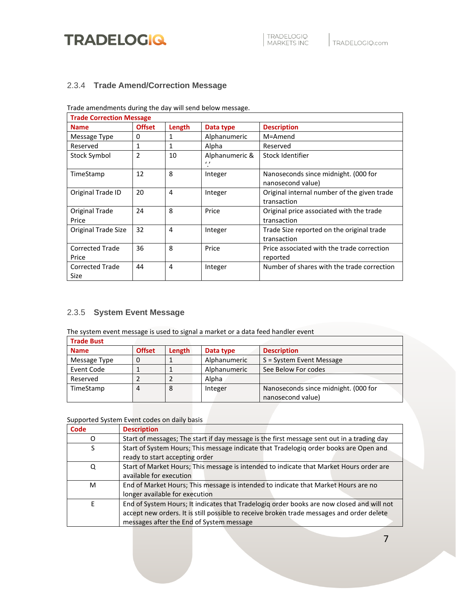

#### <span id="page-6-0"></span>2.3.4 **Trade Amend/Correction Message**

Trade amendments during the day will send below message.

| <b>Trade Correction Message</b> |               |        |                              |                                                            |  |  |
|---------------------------------|---------------|--------|------------------------------|------------------------------------------------------------|--|--|
| <b>Name</b>                     | <b>Offset</b> | Length | Data type                    | <b>Description</b>                                         |  |  |
| Message Type                    | 0             | 1      | Alphanumeric                 | M=Amend                                                    |  |  |
| Reserved                        | 1             | 1      | Alpha                        | Reserved                                                   |  |  |
| Stock Symbol                    | 2             | 10     | Alphanumeric &<br>$\epsilon$ | Stock Identifier                                           |  |  |
| TimeStamp                       | 12            | 8      | Integer                      | Nanoseconds since midnight. (000 for<br>nanosecond value)  |  |  |
| Original Trade ID               | 20            | 4      | Integer                      | Original internal number of the given trade<br>transaction |  |  |
| Original Trade<br>Price         | 24            | 8      | Price                        | Original price associated with the trade<br>transaction    |  |  |
| Original Trade Size             | 32            | 4      | Integer                      | Trade Size reported on the original trade<br>transaction   |  |  |
| <b>Corrected Trade</b><br>Price | 36            | 8      | Price                        | Price associated with the trade correction<br>reported     |  |  |
| <b>Corrected Trade</b><br>Size  | 44            | 4      | Integer                      | Number of shares with the trade correction                 |  |  |

### <span id="page-6-1"></span>2.3.5 **System Event Message**

The system event message is used to signal a market or a data feed handler event

| <b>Trade Bust</b> |               |        |              |                                      |
|-------------------|---------------|--------|--------------|--------------------------------------|
| <b>Name</b>       | <b>Offset</b> | Length | Data type    | <b>Description</b>                   |
| Message Type      |               |        | Alphanumeric | S = System Event Message             |
| Event Code        |               |        | Alphanumeric | See Below For codes                  |
| Reserved          |               |        | Alpha        |                                      |
| TimeStamp         | 4             | 8      | Integer      | Nanoseconds since midnight. (000 for |
|                   |               |        |              | nanosecond value)                    |

Supported System Event codes on daily basis

| Code | <b>Description</b>                                                                         |
|------|--------------------------------------------------------------------------------------------|
| Ω    | Start of messages; The start if day message is the first message sent out in a trading day |
| S    | Start of System Hours; This message indicate that Tradelogiq order books are Open and      |
|      | ready to start accepting order                                                             |
| Q    | Start of Market Hours; This message is intended to indicate that Market Hours order are    |
|      | available for execution                                                                    |
| M    | End of Market Hours; This message is intended to indicate that Market Hours are no         |
|      | longer available for execution                                                             |
| F    | End of System Hours; It indicates that Tradelogiq order books are now closed and will not  |
|      | accept new orders. It is still possible to receive broken trade messages and order delete  |
|      | messages after the End of System message                                                   |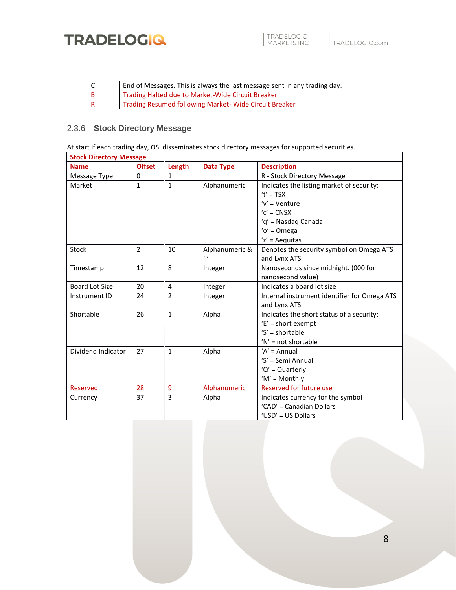

| End of Messages. This is always the last message sent in any trading day. |
|---------------------------------------------------------------------------|
| Trading Halted due to Market-Wide Circuit Breaker                         |
| Trading Resumed following Market-Wide Circuit Breaker                     |

### <span id="page-7-0"></span>2.3.6 **Stock Directory Message**

At start if each trading day, OSI disseminates stock directory messages for supported securities.

| <b>Stock Directory Message</b> |                |                |                  |                                              |  |
|--------------------------------|----------------|----------------|------------------|----------------------------------------------|--|
| <b>Name</b>                    | <b>Offset</b>  | Length         | <b>Data Type</b> | <b>Description</b>                           |  |
| Message Type                   | $\Omega$       | $\mathbf{1}$   |                  | R - Stock Directory Message                  |  |
| Market                         | $\mathbf{1}$   | $\mathbf{1}$   | Alphanumeric     | Indicates the listing market of security:    |  |
|                                |                |                |                  | $'t' = TSX$                                  |  |
|                                |                |                |                  | $V'$ = Venture                               |  |
|                                |                |                |                  | $'c'$ = CNSX                                 |  |
|                                |                |                |                  | 'q' = Nasdaq Canada                          |  |
|                                |                |                |                  | $'o' = Omega$                                |  |
|                                |                |                |                  | $z' =$ Aequitas                              |  |
| <b>Stock</b>                   | $\overline{2}$ | 10             | Alphanumeric &   | Denotes the security symbol on Omega ATS     |  |
|                                |                |                | $\iota$          | and Lynx ATS                                 |  |
| Timestamp                      | 12             | 8              | Integer          | Nanoseconds since midnight. (000 for         |  |
|                                |                |                |                  | nanosecond value)                            |  |
| Board Lot Size                 | 20             | $\overline{4}$ | Integer          | Indicates a board lot size                   |  |
| Instrument ID                  | 24             | $\overline{2}$ | Integer          | Internal instrument identifier for Omega ATS |  |
|                                |                |                |                  | and Lynx ATS                                 |  |
| Shortable                      | 26             | $\mathbf{1}$   | Alpha            | Indicates the short status of a security:    |  |
|                                |                |                |                  | $E'$ = short exempt                          |  |
|                                |                |                |                  | $'S' = shortable$                            |  |
|                                |                |                |                  | $'N'$ = not shortable                        |  |
| Dividend Indicator             | 27             | $\mathbf{1}$   | Alpha            | $'A' = Annual$                               |  |
|                                |                |                |                  | 'S' = Semi Annual                            |  |
|                                |                |                |                  | $'Q' =$ Quarterly                            |  |
|                                |                |                |                  | $'M' = Monthly$                              |  |
| <b>Reserved</b>                | 28             | 9              | Alphanumeric     | Reserved for future use                      |  |
| Currency                       | 37             | 3              | Alpha            | Indicates currency for the symbol            |  |
|                                |                |                |                  | 'CAD' = Canadian Dollars                     |  |
|                                |                |                |                  | 'USD' = US Dollars                           |  |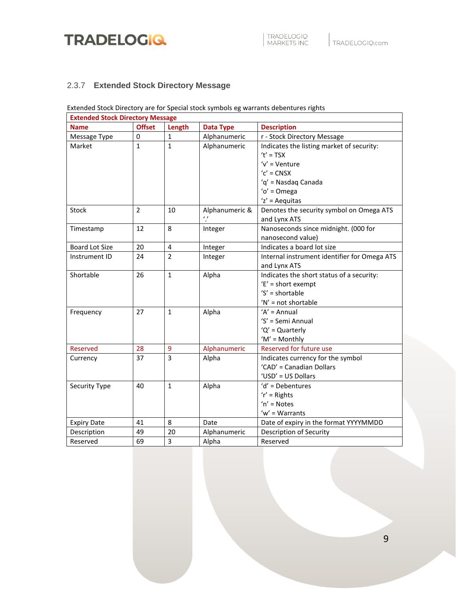

### <span id="page-8-0"></span>2.3.7 **Extended Stock Directory Message**

### Extended Stock Directory are for Special stock symbols eg warrants debentures rights

| <b>Extended Stock Directory Message</b> |                |                |                  |                                              |  |  |
|-----------------------------------------|----------------|----------------|------------------|----------------------------------------------|--|--|
| <b>Name</b>                             | <b>Offset</b>  | Length         | <b>Data Type</b> | <b>Description</b>                           |  |  |
| Message Type                            | 0              | $\mathbf{1}$   | Alphanumeric     | r - Stock Directory Message                  |  |  |
| Market                                  | $\mathbf{1}$   | $\mathbf{1}$   | Alphanumeric     | Indicates the listing market of security:    |  |  |
|                                         |                |                |                  | $'t' = TSX$                                  |  |  |
|                                         |                |                |                  | $V'$ = Venture                               |  |  |
|                                         |                |                |                  | $'c'$ = CNSX                                 |  |  |
|                                         |                |                |                  | 'q' = Nasdaq Canada                          |  |  |
|                                         |                |                |                  | $'o' = Omega$                                |  |  |
|                                         |                |                |                  | $z' = A$ equitas                             |  |  |
| Stock                                   | $\overline{2}$ | 10             | Alphanumeric &   | Denotes the security symbol on Omega ATS     |  |  |
|                                         |                |                | $\epsilon$       | and Lynx ATS                                 |  |  |
| Timestamp                               | 12             | 8              | Integer          | Nanoseconds since midnight. (000 for         |  |  |
|                                         |                |                |                  | nanosecond value)                            |  |  |
| <b>Board Lot Size</b>                   | 20             | 4              | Integer          | Indicates a board lot size                   |  |  |
| Instrument ID                           | 24             | $\overline{2}$ | Integer          | Internal instrument identifier for Omega ATS |  |  |
|                                         |                |                |                  | and Lynx ATS                                 |  |  |
| Shortable                               | 26             | $\mathbf{1}$   | Alpha            | Indicates the short status of a security:    |  |  |
|                                         |                |                |                  | $'E'$ = short exempt                         |  |  |
|                                         |                |                |                  | $'S' = shortable$                            |  |  |
|                                         |                |                |                  | $'N'$ = not shortable                        |  |  |
| Frequency                               | 27             | $\mathbf{1}$   | Alpha            | $'A' = Annual$                               |  |  |
|                                         |                |                |                  | 'S' = Semi Annual                            |  |  |
|                                         |                |                |                  | 'Q' = Quarterly                              |  |  |
|                                         |                |                |                  | $'M' = Monthly$                              |  |  |
| Reserved                                | 28             | 9              | Alphanumeric     | Reserved for future use                      |  |  |
| Currency                                | 37             | 3              | Alpha            | Indicates currency for the symbol            |  |  |
|                                         |                |                |                  | 'CAD' = Canadian Dollars                     |  |  |
|                                         |                |                |                  | 'USD' = US Dollars                           |  |  |
| Security Type                           | 40             | $\mathbf{1}$   | Alpha            | 'd' = Debentures                             |  |  |
|                                         |                |                |                  | $'r' =$ Rights                               |  |  |
|                                         |                |                |                  | $'n' = Notes$                                |  |  |
|                                         |                |                |                  | $w' = Warrants$                              |  |  |
| <b>Expiry Date</b>                      | 41             | 8              | Date             | Date of expiry in the format YYYYMMDD        |  |  |
| Description                             | 49             | 20             | Alphanumeric     | Description of Security                      |  |  |
| Reserved                                | 69             | 3              | Alpha            | Reserved                                     |  |  |